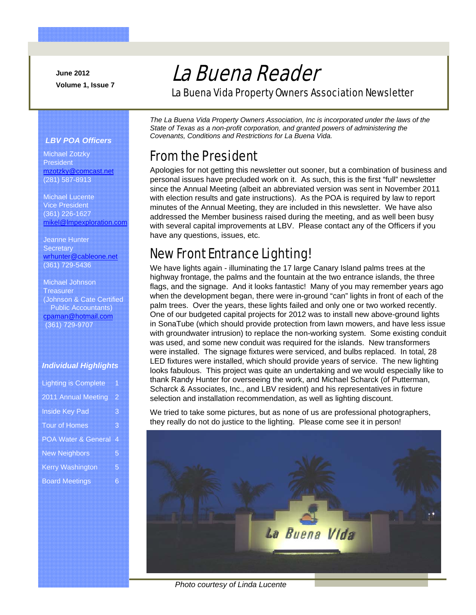**June 2012 Volume 1, Issue 7** 

# La Buena Reader

La Buena Vida Property Owners Association Newsletter

### *LBV POA Officers*

Michael Zotzky President mzotzky@comcast.net (281) 587-8913

Michael Lucente Vice President (361) 226-1627 mikel@lmpexploration.com

Jeanne Hunter **Secretary** wrhunter@cableone.net (361) 729-5436

Michael Johnson **Treasurer** (Johnson & Cate Certified Public Accountants) cpaman@hotmail.com (361) 729-9707

### *Individual Highlights*

| <b>Lighting is Complete</b>    | 1 |
|--------------------------------|---|
| 2011 Annual Meeting            | 2 |
| <b>Inside Key Pad</b>          | 3 |
| <b>Tour of Homes</b>           | 3 |
| <b>POA Water &amp; General</b> | 4 |
| <b>New Neighbors</b>           | 5 |
| <b>Kerry Washington</b>        | 5 |
|                                | 6 |
| <b>Board Meetings</b>          |   |

*The La Buena Vida Property Owners Association, Inc is incorporated under the laws of the State of Texas as a non-profit corporation, and granted powers of administering the Covenants, Conditions and Restrictions for La Buena Vida.* 

### From the President

Apologies for not getting this newsletter out sooner, but a combination of business and personal issues have precluded work on it. As such, this is the first "full" newsletter since the Annual Meeting (albeit an abbreviated version was sent in November 2011 with election results and gate instructions). As the POA is required by law to report minutes of the Annual Meeting, they are included in this newsletter. We have also addressed the Member business raised during the meeting, and as well been busy with several capital improvements at LBV. Please contact any of the Officers if you have any questions, issues, etc.

## New Front Entrance Lighting!

We have lights again - illuminating the 17 large Canary Island palms trees at the highway frontage, the palms and the fountain at the two entrance islands, the three flags, and the signage. And it looks fantastic! Many of you may remember years ago when the development began, there were in-ground "can" lights in front of each of the palm trees. Over the years, these lights failed and only one or two worked recently. One of our budgeted capital projects for 2012 was to install new above-ground lights in SonaTube (which should provide protection from lawn mowers, and have less issue with groundwater intrusion) to replace the non-working system. Some existing conduit was used, and some new conduit was required for the islands. New transformers were installed. The signage fixtures were serviced, and bulbs replaced. In total, 28 LED fixtures were installed, which should provide years of service. The new lighting looks fabulous. This project was quite an undertaking and we would especially like to thank Randy Hunter for overseeing the work, and Michael Scharck (of Putterman, Scharck & Associates, Inc., and LBV resident) and his representatives in fixture selection and installation recommendation, as well as lighting discount.

We tried to take some pictures, but as none of us are professional photographers, they really do not do justice to the lighting. Please come see it in person!



*Photo courtesy of Linda Lucente*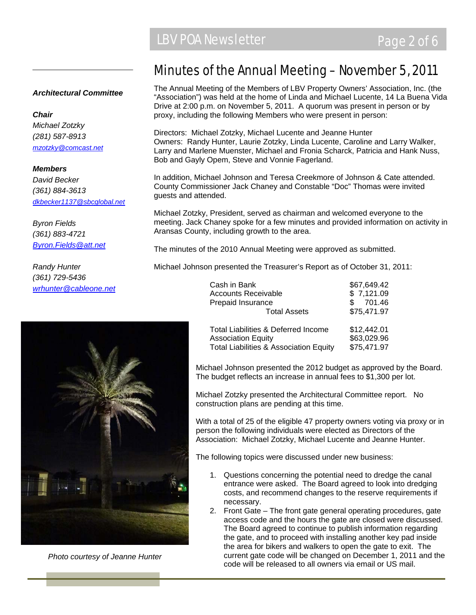### *Architectural Committee*

*Chair Michael Zotzky (281) 587-8913 mzotzky@comcast.net*

*Members David Becker (361) 884-3613 dkbecker1137@sbcglobal.net*

*Byron Fields (361) 883-4721 Byron.Fields@att.net*

*Randy Hunter (361) 729-5436 wrhunter@cableone.net*



*Photo courtesy of Jeanne Hunter* 

### Minutes of the Annual Meeting – November 5, 2011

The Annual Meeting of the Members of LBV Property Owners' Association, Inc. (the "Association") was held at the home of Linda and Michael Lucente, 14 La Buena Vida Drive at 2:00 p.m. on November 5, 2011. A quorum was present in person or by proxy, including the following Members who were present in person:

Directors: Michael Zotzky, Michael Lucente and Jeanne Hunter Owners: Randy Hunter, Laurie Zotzky, Linda Lucente, Caroline and Larry Walker, Larry and Marlene Muenster, Michael and Fronia Scharck, Patricia and Hank Nuss, Bob and Gayly Opem, Steve and Vonnie Fagerland.

In addition, Michael Johnson and Teresa Creekmore of Johnson & Cate attended. County Commissioner Jack Chaney and Constable "Doc" Thomas were invited guests and attended.

Michael Zotzky, President, served as chairman and welcomed everyone to the meeting. Jack Chaney spoke for a few minutes and provided information on activity in Aransas County, including growth to the area.

The minutes of the 2010 Annual Meeting were approved as submitted.

Michael Johnson presented the Treasurer's Report as of October 31, 2011:

| Cash in Bank                                      | \$67,649.42 |
|---------------------------------------------------|-------------|
| <b>Accounts Receivable</b>                        | \$7,121.09  |
| Prepaid Insurance                                 | 701.46      |
| <b>Total Assets</b>                               | \$75,471.97 |
| Total Liabilities & Deferred Income               | \$12,442.01 |
| <b>Association Equity</b>                         | \$63,029.96 |
| <b>Total Liabilities &amp; Association Equity</b> | \$75,471.97 |

Michael Johnson presented the 2012 budget as approved by the Board. The budget reflects an increase in annual fees to \$1,300 per lot.

Michael Zotzky presented the Architectural Committee report. No construction plans are pending at this time.

With a total of 25 of the eligible 47 property owners voting via proxy or in person the following individuals were elected as Directors of the Association: Michael Zotzky, Michael Lucente and Jeanne Hunter.

The following topics were discussed under new business:

- 1. Questions concerning the potential need to dredge the canal entrance were asked. The Board agreed to look into dredging costs, and recommend changes to the reserve requirements if necessary.
- 2. Front Gate The front gate general operating procedures, gate access code and the hours the gate are closed were discussed. The Board agreed to continue to publish information regarding the gate, and to proceed with installing another key pad inside the area for bikers and walkers to open the gate to exit. The current gate code will be changed on December 1, 2011 and the code will be released to all owners via email or US mail.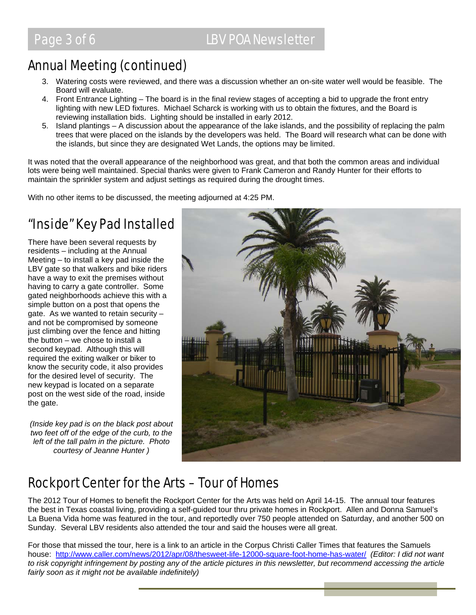## Annual Meeting (continued)

- 3. Watering costs were reviewed, and there was a discussion whether an on-site water well would be feasible. The Board will evaluate.
- 4. Front Entrance Lighting The board is in the final review stages of accepting a bid to upgrade the front entry lighting with new LED fixtures. Michael Scharck is working with us to obtain the fixtures, and the Board is reviewing installation bids. Lighting should be installed in early 2012.
- 5. Island plantings A discussion about the appearance of the lake islands, and the possibility of replacing the palm trees that were placed on the islands by the developers was held. The Board will research what can be done with the islands, but since they are designated Wet Lands, the options may be limited.

It was noted that the overall appearance of the neighborhood was great, and that both the common areas and individual lots were being well maintained. Special thanks were given to Frank Cameron and Randy Hunter for their efforts to maintain the sprinkler system and adjust settings as required during the drought times.

With no other items to be discussed, the meeting adjourned at 4:25 PM.

## "Inside" Key Pad Installed

There have been several requests by residents – including at the Annual Meeting – to install a key pad inside the LBV gate so that walkers and bike riders have a way to exit the premises without having to carry a gate controller. Some gated neighborhoods achieve this with a simple button on a post that opens the gate. As we wanted to retain security – and not be compromised by someone just climbing over the fence and hitting the button – we chose to install a second keypad. Although this will required the exiting walker or biker to know the security code, it also provides for the desired level of security. The new keypad is located on a separate post on the west side of the road, inside the gate.

*(Inside key pad is on the black post about two feet off of the edge of the curb, to the left of the tall palm in the picture. Photo courtesy of Jeanne Hunter )* 



## Rockport Center for the Arts – Tour of Homes

The 2012 Tour of Homes to benefit the Rockport Center for the Arts was held on April 14-15. The annual tour features the best in Texas coastal living, providing a self-guided tour thru private homes in Rockport. Allen and Donna Samuel's La Buena Vida home was featured in the tour, and reportedly over 750 people attended on Saturday, and another 500 on Sunday. Several LBV residents also attended the tour and said the houses were all great.

For those that missed the tour, here is a link to an article in the Corpus Christi Caller Times that features the Samuels house: http://www.caller.com/news/2012/apr/08/thesweet-life-12000-square-foot-home-has-water/ *(Editor: I did not want to risk copyright infringement by posting any of the article pictures in this newsletter, but recommend accessing the article fairly soon as it might not be available indefinitely)*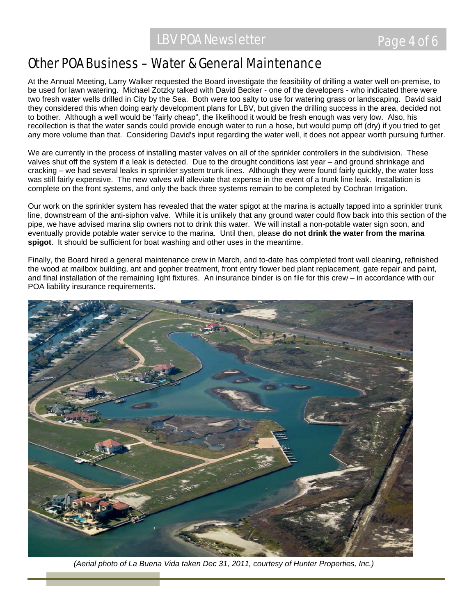### Other POA Business – Water & General Maintenance

At the Annual Meeting, Larry Walker requested the Board investigate the feasibility of drilling a water well on-premise, to be used for lawn watering. Michael Zotzky talked with David Becker - one of the developers - who indicated there were two fresh water wells drilled in City by the Sea. Both were too salty to use for watering grass or landscaping. David said they considered this when doing early development plans for LBV, but given the drilling success in the area, decided not to bother. Although a well would be "fairly cheap", the likelihood it would be fresh enough was very low. Also, his recollection is that the water sands could provide enough water to run a hose, but would pump off (dry) if you tried to get any more volume than that. Considering David's input regarding the water well, it does not appear worth pursuing further.

We are currently in the process of installing master valves on all of the sprinkler controllers in the subdivision. These valves shut off the system if a leak is detected. Due to the drought conditions last year – and ground shrinkage and cracking – we had several leaks in sprinkler system trunk lines. Although they were found fairly quickly, the water loss was still fairly expensive. The new valves will alleviate that expense in the event of a trunk line leak. Installation is complete on the front systems, and only the back three systems remain to be completed by Cochran Irrigation.

Our work on the sprinkler system has revealed that the water spigot at the marina is actually tapped into a sprinkler trunk line, downstream of the anti-siphon valve. While it is unlikely that any ground water could flow back into this section of the pipe, we have advised marina slip owners not to drink this water. We will install a non-potable water sign soon, and eventually provide potable water service to the marina. Until then, please **do not drink the water from the marina spigot**. It should be sufficient for boat washing and other uses in the meantime.

Finally, the Board hired a general maintenance crew in March, and to-date has completed front wall cleaning, refinished the wood at mailbox building, ant and gopher treatment, front entry flower bed plant replacement, gate repair and paint, and final installation of the remaining light fixtures. An insurance binder is on file for this crew – in accordance with our POA liability insurance requirements.



*(Aerial photo of La Buena Vida taken Dec 31, 2011, courtesy of Hunter Properties, Inc.)*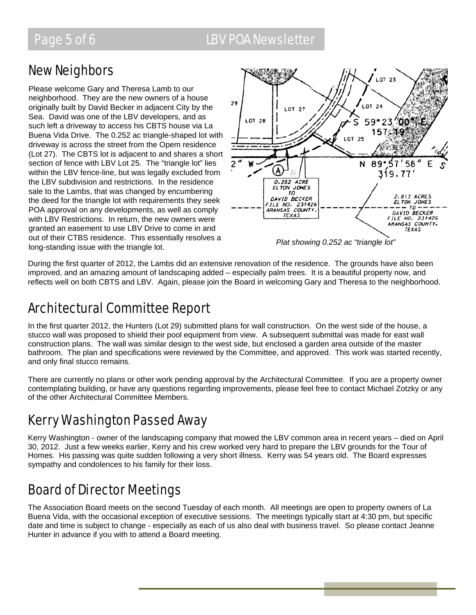### Page 5 of 6 LBV POA Newsletter

### New Neighbors

Please welcome Gary and Theresa Lamb to our neighborhood. They are the new owners of a house originally built by David Becker in adjacent City by the Sea. David was one of the LBV developers, and as such left a driveway to access his CBTS house via La Buena Vida Drive. The 0.252 ac triangle-shaped lot with driveway is across the street from the Opem residence (Lot 27). The CBTS lot is adjacent to and shares a short section of fence with LBV Lot 25. The "triangle lot" lies within the LBV fence-line, but was legally excluded from the LBV subdivision and restrictions. In the residence sale to the Lambs, that was changed by encumbering the deed for the triangle lot with requirements they seek POA approval on any developments, as well as comply with LBV Restrictions. In return, the new owners were granted an easement to use LBV Drive to come in and out of their CTBS residence. This essentially resolves a long-standing issue with the triangle lot. *Plat showing 0.252 ac "triangle lot"* 



During the first quarter of 2012, the Lambs did an extensive renovation of the residence. The grounds have also been improved, and an amazing amount of landscaping added – especially palm trees. It is a beautiful property now, and reflects well on both CBTS and LBV. Again, please join the Board in welcoming Gary and Theresa to the neighborhood.

## Architectural Committee Report

In the first quarter 2012, the Hunters (Lot 29) submitted plans for wall construction. On the west side of the house, a stucco wall was proposed to shield their pool equipment from view. A subsequent submittal was made for east wall construction plans. The wall was similar design to the west side, but enclosed a garden area outside of the master bathroom. The plan and specifications were reviewed by the Committee, and approved. This work was started recently, and only final stucco remains.

There are currently no plans or other work pending approval by the Architectural Committee. If you are a property owner contemplating building, or have any questions regarding improvements, please feel free to contact Michael Zotzky or any of the other Architectural Committee Members.

## Kerry Washington Passed Away

Kerry Washington - owner of the landscaping company that mowed the LBV common area in recent years – died on April 30, 2012. Just a few weeks earlier, Kerry and his crew worked very hard to prepare the LBV grounds for the Tour of Homes. His passing was quite sudden following a very short illness. Kerry was 54 years old. The Board expresses sympathy and condolences to his family for their loss.

## Board of Director Meetings

The Association Board meets on the second Tuesday of each month. All meetings are open to property owners of La Buena Vida, with the occasional exception of executive sessions. The meetings typically start at 4:30 pm, but specific date and time is subject to change - especially as each of us also deal with business travel. So please contact Jeanne Hunter in advance if you with to attend a Board meeting.